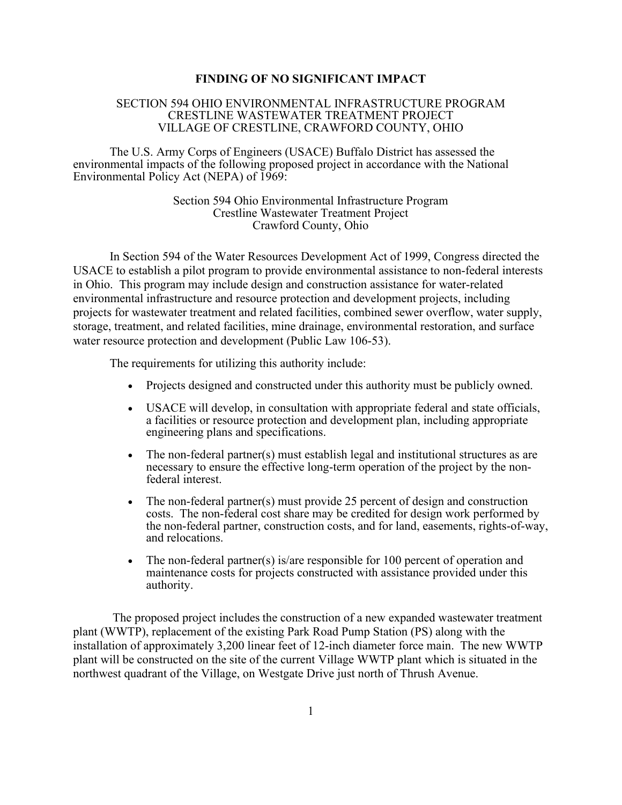#### **FINDING OF NO SIGNIFICANT IMPACT**

#### SECTION 594 OHIO ENVIRONMENTAL INFRASTRUCTURE PROGRAM CRESTLINE WASTEWATER TREATMENT PROJECT VILLAGE OF CRESTLINE, CRAWFORD COUNTY, OHIO

The U.S. Army Corps of Engineers (USACE) Buffalo District has assessed the environmental impacts of the following proposed project in accordance with the National Environmental Policy Act (NEPA) of 1969:

> Section 594 Ohio Environmental Infrastructure Program Crestline Wastewater Treatment Project Crawford County, Ohio

In Section 594 of the Water Resources Development Act of 1999, Congress directed the USACE to establish a pilot program to provide environmental assistance to non-federal interests in Ohio. This program may include design and construction assistance for water-related environmental infrastructure and resource protection and development projects, including projects for wastewater treatment and related facilities, combined sewer overflow, water supply, storage, treatment, and related facilities, mine drainage, environmental restoration, and surface water resource protection and development (Public Law 106-53).

The requirements for utilizing this authority include:

- Projects designed and constructed under this authority must be publicly owned.
- USACE will develop, in consultation with appropriate federal and state officials, a facilities or resource protection and development plan, including appropriate engineering plans and specifications.
- The non-federal partner(s) must establish legal and institutional structures as are necessary to ensure the effective long-term operation of the project by the nonfederal interest.
- The non-federal partner(s) must provide 25 percent of design and construction costs. The non-federal cost share may be credited for design work performed by the non-federal partner, construction costs, and for land, easements, rights-of-way, and relocations.
- The non-federal partner(s) is/are responsible for 100 percent of operation and maintenance costs for projects constructed with assistance provided under this authority.

The proposed project includes the construction of a new expanded wastewater treatment plant (WWTP), replacement of the existing Park Road Pump Station (PS) along with the installation of approximately 3,200 linear feet of 12-inch diameter force main. The new WWTP plant will be constructed on the site of the current Village WWTP plant which is situated in the northwest quadrant of the Village, on Westgate Drive just north of Thrush Avenue.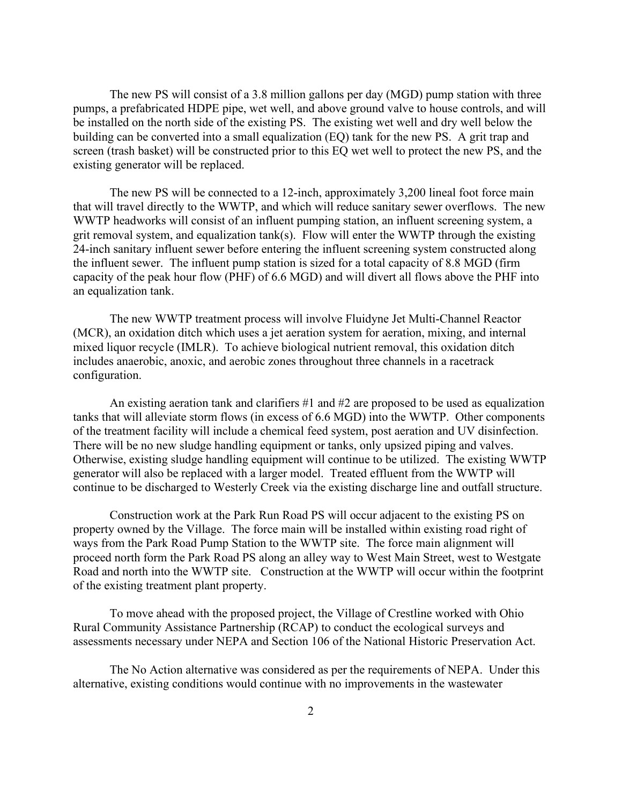The new PS will consist of a 3.8 million gallons per day (MGD) pump station with three pumps, a prefabricated HDPE pipe, wet well, and above ground valve to house controls, and will be installed on the north side of the existing PS. The existing wet well and dry well below the building can be converted into a small equalization (EQ) tank for the new PS. A grit trap and screen (trash basket) will be constructed prior to this EQ wet well to protect the new PS, and the existing generator will be replaced.

The new PS will be connected to a 12-inch, approximately 3,200 lineal foot force main that will travel directly to the WWTP, and which will reduce sanitary sewer overflows. The new WWTP headworks will consist of an influent pumping station, an influent screening system, a grit removal system, and equalization tank(s). Flow will enter the WWTP through the existing 24-inch sanitary influent sewer before entering the influent screening system constructed along the influent sewer. The influent pump station is sized for a total capacity of 8.8 MGD (firm capacity of the peak hour flow (PHF) of 6.6 MGD) and will divert all flows above the PHF into an equalization tank.

The new WWTP treatment process will involve Fluidyne Jet Multi-Channel Reactor (MCR), an oxidation ditch which uses a jet aeration system for aeration, mixing, and internal mixed liquor recycle (IMLR). To achieve biological nutrient removal, this oxidation ditch includes anaerobic, anoxic, and aerobic zones throughout three channels in a racetrack configuration.

An existing aeration tank and clarifiers  $\#1$  and  $\#2$  are proposed to be used as equalization tanks that will alleviate storm flows (in excess of 6.6 MGD) into the WWTP. Other components of the treatment facility will include a chemical feed system, post aeration and UV disinfection. There will be no new sludge handling equipment or tanks, only upsized piping and valves. Otherwise, existing sludge handling equipment will continue to be utilized. The existing WWTP generator will also be replaced with a larger model. Treated effluent from the WWTP will continue to be discharged to Westerly Creek via the existing discharge line and outfall structure.

Construction work at the Park Run Road PS will occur adjacent to the existing PS on property owned by the Village. The force main will be installed within existing road right of ways from the Park Road Pump Station to the WWTP site. The force main alignment will proceed north form the Park Road PS along an alley way to West Main Street, west to Westgate Road and north into the WWTP site. Construction at the WWTP will occur within the footprint of the existing treatment plant property.

To move ahead with the proposed project, the Village of Crestline worked with Ohio Rural Community Assistance Partnership (RCAP) to conduct the ecological surveys and assessments necessary under NEPA and Section 106 of the National Historic Preservation Act.

The No Action alternative was considered as per the requirements of NEPA. Under this alternative, existing conditions would continue with no improvements in the wastewater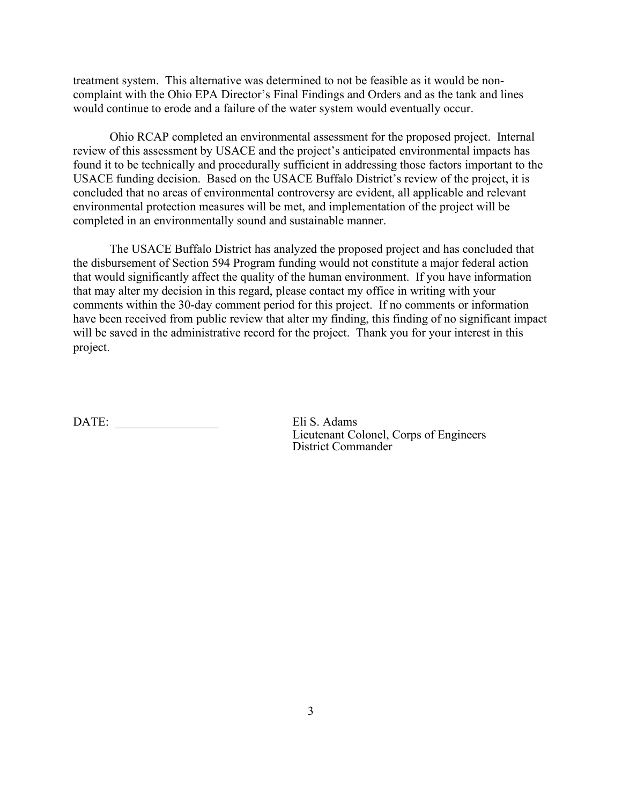treatment system. This alternative was determined to not be feasible as it would be noncomplaint with the Ohio EPA Director's Final Findings and Orders and as the tank and lines would continue to erode and a failure of the water system would eventually occur.

Ohio RCAP completed an environmental assessment for the proposed project. Internal review of this assessment by USACE and the project's anticipated environmental impacts has found it to be technically and procedurally sufficient in addressing those factors important to the USACE funding decision. Based on the USACE Buffalo District's review of the project, it is concluded that no areas of environmental controversy are evident, all applicable and relevant environmental protection measures will be met, and implementation of the project will be completed in an environmentally sound and sustainable manner.

The USACE Buffalo District has analyzed the proposed project and has concluded that the disbursement of Section 594 Program funding would not constitute a major federal action that would significantly affect the quality of the human environment. If you have information that may alter my decision in this regard, please contact my office in writing with your comments within the 30-day comment period for this project. If no comments or information have been received from public review that alter my finding, this finding of no significant impact will be saved in the administrative record for the project. Thank you for your interest in this project.

DATE: Eli S. Adams

Lieutenant Colonel, Corps of Engineers District Commander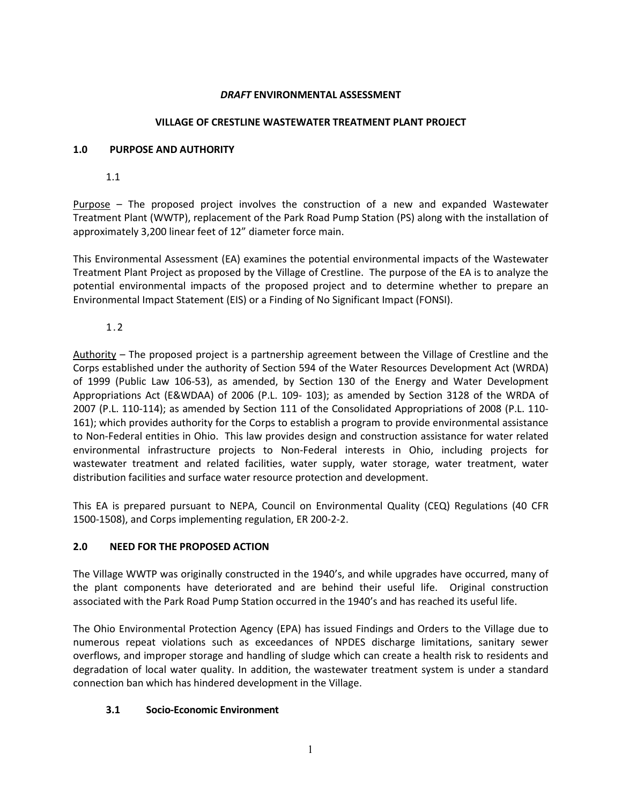#### *DRAFT* **ENVIRONMENTAL ASSESSMENT**

#### **VILLAGE OF CRESTLINE WASTEWATER TREATMENT PLANT PROJECT**

#### **1.0 PURPOSE AND AUTHORITY**

1.1

Purpose – The proposed project involves the construction of a new and expanded Wastewater Treatment Plant (WWTP), replacement of the Park Road Pump Station (PS) along with the installation of approximately 3,200 linear feet of 12" diameter force main.

This Environmental Assessment (EA) examines the potential environmental impacts of the Wastewater Treatment Plant Project as proposed by the Village of Crestline. The purpose of the EA is to analyze the potential environmental impacts of the proposed project and to determine whether to prepare an Environmental Impact Statement (EIS) or a Finding of No Significant Impact (FONSI).

### 1.2

Authority – The proposed project is a partnership agreement between the Village of Crestline and the Corps established under the authority of Section 594 of the Water Resources Development Act (WRDA) of 1999 (Public Law 106-53), as amended, by Section 130 of the Energy and Water Development Appropriations Act (E&WDAA) of 2006 (P.L. 109- 103); as amended by Section 3128 of the WRDA of 2007 (P.L. 110-114); as amended by Section 111 of the Consolidated Appropriations of 2008 (P.L. 110- 161); which provides authority for the Corps to establish a program to provide environmental assistance to Non-Federal entities in Ohio. This law provides design and construction assistance for water related environmental infrastructure projects to Non-Federal interests in Ohio, including projects for wastewater treatment and related facilities, water supply, water storage, water treatment, water distribution facilities and surface water resource protection and development.

This EA is prepared pursuant to NEPA, Council on Environmental Quality (CEQ) Regulations (40 CFR 1500-1508), and Corps implementing regulation, ER 200-2-2.

#### **2.0 NEED FOR THE PROPOSED ACTION**

The Village WWTP was originally constructed in the 1940's, and while upgrades have occurred, many of the plant components have deteriorated and are behind their useful life. Original construction associated with the Park Road Pump Station occurred in the 1940's and has reached its useful life.

The Ohio Environmental Protection Agency (EPA) has issued Findings and Orders to the Village due to numerous repeat violations such as exceedances of NPDES discharge limitations, sanitary sewer overflows, and improper storage and handling of sludge which can create a health risk to residents and degradation of local water quality. In addition, the wastewater treatment system is under a standard connection ban which has hindered development in the Village.

#### **3.1 Socio-Economic Environment**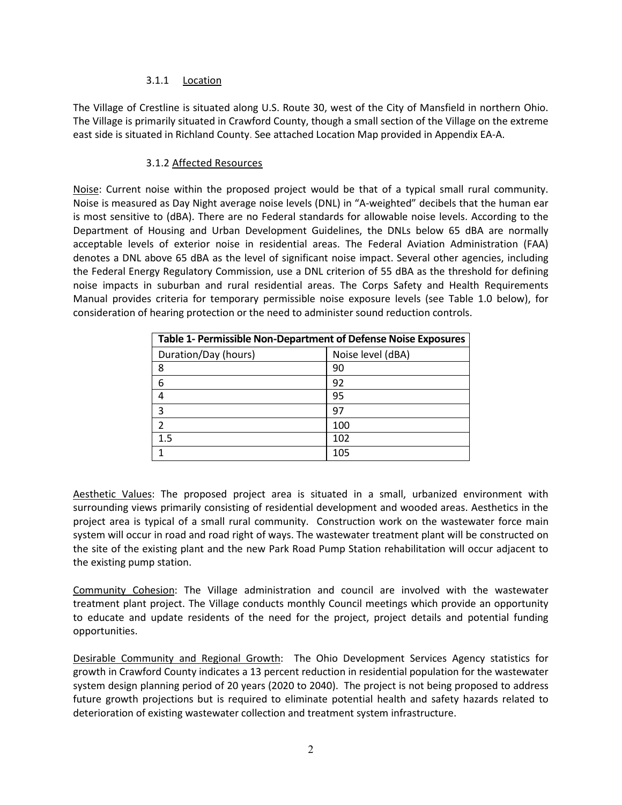#### 3.1.1 Location

The Village of Crestline is situated along U.S. Route 30, west of the City of Mansfield in northern Ohio. The Village is primarily situated in Crawford County, though a small section of the Village on the extreme east side is situated in Richland County. See attached Location Map provided in Appendix EA-A.

### 3.1.2 Affected Resources

Noise: Current noise within the proposed project would be that of a typical small rural community. Noise is measured as Day Night average noise levels (DNL) in "A-weighted" decibels that the human ear is most sensitive to (dBA). There are no Federal standards for allowable noise levels. According to the Department of Housing and Urban Development Guidelines, the DNLs below 65 dBA are normally acceptable levels of exterior noise in residential areas. The Federal Aviation Administration (FAA) denotes a DNL above 65 dBA as the level of significant noise impact. Several other agencies, including the Federal Energy Regulatory Commission, use a DNL criterion of 55 dBA as the threshold for defining noise impacts in suburban and rural residential areas. The Corps Safety and Health Requirements Manual provides criteria for temporary permissible noise exposure levels (see Table 1.0 below), for consideration of hearing protection or the need to administer sound reduction controls.

| Table 1- Permissible Non-Department of Defense Noise Exposures |                   |
|----------------------------------------------------------------|-------------------|
| Duration/Day (hours)                                           | Noise level (dBA) |
| 8                                                              | 90                |
| 6                                                              | 92                |
| 4                                                              | 95                |
| 3                                                              | 97                |
| 2                                                              | 100               |
| 1.5                                                            | 102               |
|                                                                | 105               |

Aesthetic Values: The proposed project area is situated in a small, urbanized environment with surrounding views primarily consisting of residential development and wooded areas. Aesthetics in the project area is typical of a small rural community. Construction work on the wastewater force main system will occur in road and road right of ways. The wastewater treatment plant will be constructed on the site of the existing plant and the new Park Road Pump Station rehabilitation will occur adjacent to the existing pump station.

Community Cohesion: The Village administration and council are involved with the wastewater treatment plant project. The Village conducts monthly Council meetings which provide an opportunity to educate and update residents of the need for the project, project details and potential funding opportunities.

Desirable Community and Regional Growth: The Ohio Development Services Agency statistics for growth in Crawford County indicates a 13 percent reduction in residential population for the wastewater system design planning period of 20 years (2020 to 2040). The project is not being proposed to address future growth projections but is required to eliminate potential health and safety hazards related to deterioration of existing wastewater collection and treatment system infrastructure.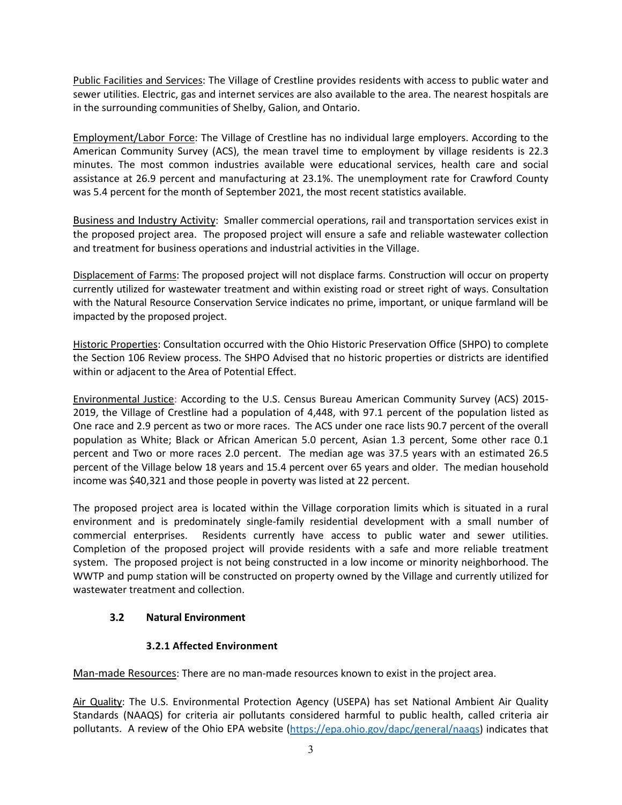Public Facilities and Services: The Village of Crestline provides residents with access to public water and sewer utilities. Electric, gas and internet services are also available to the area. The nearest hospitals are in the surrounding communities of Shelby, Galion, and Ontario.

Employment/Labor Force: The Village of Crestline has no individual large employers. According to the American Community Survey (ACS), the mean travel time to employment by village residents is 22.3 minutes. The most common industries available were educational services, health care and social assistance at 26.9 percent and manufacturing at 23.1%. The unemployment rate for Crawford County was 5.4 percent for the month of September 2021, the most recent statistics available.

Business and Industry Activity: Smaller commercial operations, rail and transportation services exist in the proposed project area. The proposed project will ensure a safe and reliable wastewater collection and treatment for business operations and industrial activities in the Village.

Displacement of Farms: The proposed project will not displace farms. Construction will occur on property currently utilized for wastewater treatment and within existing road or street right of ways. Consultation with the Natural Resource Conservation Service indicates no prime, important, or unique farmland will be impacted by the proposed project.

Historic Properties: Consultation occurred with the Ohio Historic Preservation Office (SHPO) to complete the Section 106 Review process. The SHPO Advised that no historic properties or districts are identified within or adjacent to the Area of Potential Effect.

Environmental Justice: According to the U.S. Census Bureau American Community Survey (ACS) 2015- 2019, the Village of Crestline had a population of 4,448, with 97.1 percent of the population listed as One race and 2.9 percent as two or more races. The ACS under one race lists 90.7 percent of the overall population as White; Black or African American 5.0 percent, Asian 1.3 percent, Some other race 0.1 percent and Two or more races 2.0 percent. The median age was 37.5 years with an estimated 26.5 percent of the Village below 18 years and 15.4 percent over 65 years and older. The median household income was \$40,321 and those people in poverty was listed at 22 percent.

The proposed project area is located within the Village corporation limits which is situated in a rural environment and is predominately single-family residential development with a small number of commercial enterprises. Residents currently have access to public water and sewer utilities. Completion of the proposed project will provide residents with a safe and more reliable treatment system. The proposed project is not being constructed in a low income or minority neighborhood. The WWTP and pump station will be constructed on property owned by the Village and currently utilized for wastewater treatment and collection.

# **3.2 Natural Environment**

# **3.2.1 Affected Environment**

Man-made Resources: There are no man-made resources known to exist in the project area.

Air Quality: The U.S. Environmental Protection Agency (USEPA) has set National Ambient Air Quality Standards (NAAQS) for criteria air pollutants considered harmful to public health, called criteria air pollutants. A review of the Ohio EPA website (https://epa.ohio.gov/dapc/general/naags) indicates that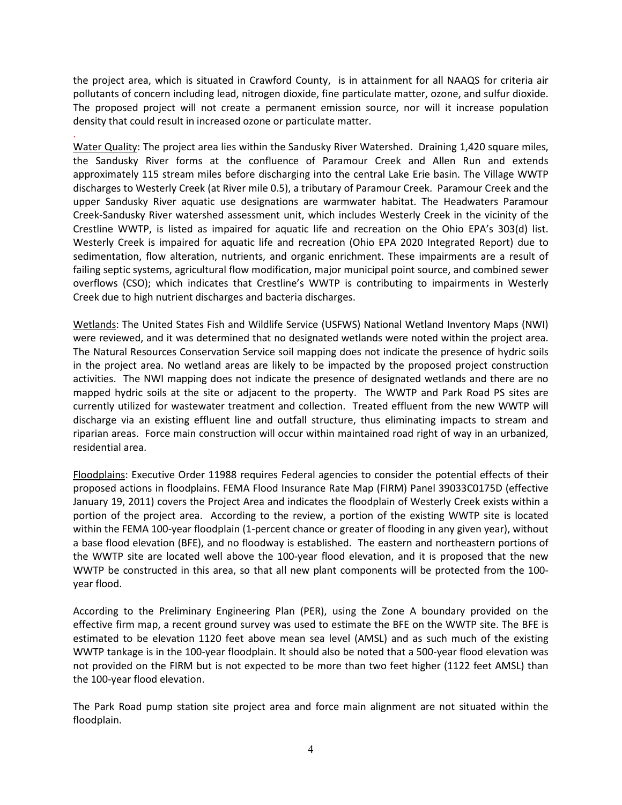the project area, which is situated in Crawford County, is in attainment for all NAAQS for criteria air pollutants of concern including lead, nitrogen dioxide, fine particulate matter, ozone, and sulfur dioxide. The proposed project will not create a permanent emission source, nor will it increase population density that could result in increased ozone or particulate matter.

.

Water Quality: The project area lies within the Sandusky River Watershed. Draining 1,420 square miles, the Sandusky River forms at the confluence of Paramour Creek and Allen Run and extends approximately 115 stream miles before discharging into the central Lake Erie basin. The Village WWTP discharges to Westerly Creek (at River mile 0.5), a tributary of Paramour Creek. Paramour Creek and the upper Sandusky River aquatic use designations are warmwater habitat. The Headwaters Paramour Creek-Sandusky River watershed assessment unit, which includes Westerly Creek in the vicinity of the Crestline WWTP, is listed as impaired for aquatic life and recreation on the Ohio EPA's 303(d) list. Westerly Creek is impaired for aquatic life and recreation (Ohio EPA 2020 Integrated Report) due to sedimentation, flow alteration, nutrients, and organic enrichment. These impairments are a result of failing septic systems, agricultural flow modification, major municipal point source, and combined sewer overflows (CSO); which indicates that Crestline's WWTP is contributing to impairments in Westerly Creek due to high nutrient discharges and bacteria discharges.

Wetlands: The United States Fish and Wildlife Service (USFWS) National Wetland Inventory Maps (NWI) were reviewed, and it was determined that no designated wetlands were noted within the project area. The Natural Resources Conservation Service soil mapping does not indicate the presence of hydric soils in the project area. No wetland areas are likely to be impacted by the proposed project construction activities. The NWI mapping does not indicate the presence of designated wetlands and there are no mapped hydric soils at the site or adjacent to the property. The WWTP and Park Road PS sites are currently utilized for wastewater treatment and collection. Treated effluent from the new WWTP will discharge via an existing effluent line and outfall structure, thus eliminating impacts to stream and riparian areas. Force main construction will occur within maintained road right of way in an urbanized, residential area.

Floodplains: Executive Order 11988 requires Federal agencies to consider the potential effects of their proposed actions in floodplains. FEMA Flood Insurance Rate Map (FIRM) Panel 39033C0175D (effective January 19, 2011) covers the Project Area and indicates the floodplain of Westerly Creek exists within a portion of the project area. According to the review, a portion of the existing WWTP site is located within the FEMA 100-year floodplain (1-percent chance or greater of flooding in any given year), without a base flood elevation (BFE), and no floodway is established. The eastern and northeastern portions of the WWTP site are located well above the 100-year flood elevation, and it is proposed that the new WWTP be constructed in this area, so that all new plant components will be protected from the 100 year flood.

According to the Preliminary Engineering Plan (PER), using the Zone A boundary provided on the effective firm map, a recent ground survey was used to estimate the BFE on the WWTP site. The BFE is estimated to be elevation 1120 feet above mean sea level (AMSL) and as such much of the existing WWTP tankage is in the 100-year floodplain. It should also be noted that a 500-year flood elevation was not provided on the FIRM but is not expected to be more than two feet higher (1122 feet AMSL) than the 100-year flood elevation.

The Park Road pump station site project area and force main alignment are not situated within the floodplain.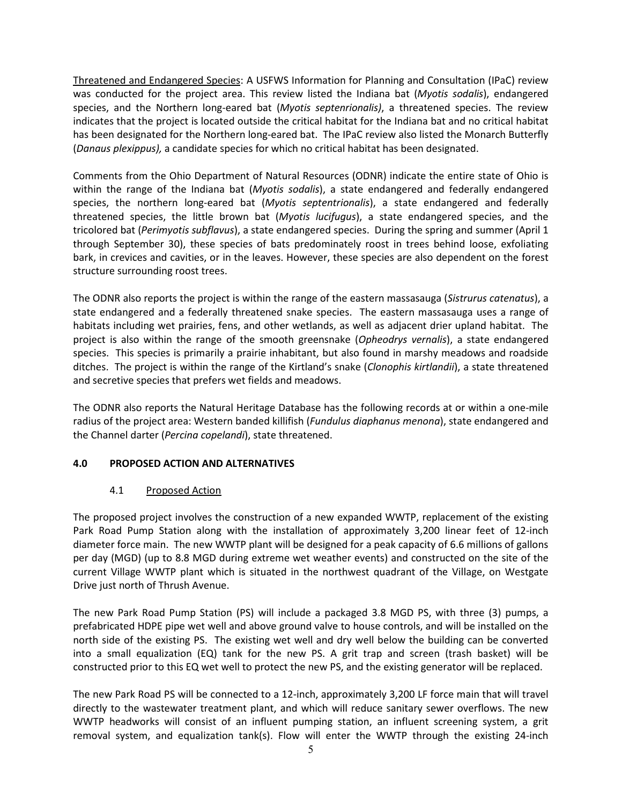Threatened and Endangered Species: A USFWS Information for Planning and Consultation (IPaC) review was conducted for the project area. This review listed the Indiana bat (*Myotis sodalis*), endangered species, and the Northern long-eared bat (*Myotis septenrionalis)*, a threatened species. The review indicates that the project is located outside the critical habitat for the Indiana bat and no critical habitat has been designated for the Northern long-eared bat. The IPaC review also listed the Monarch Butterfly (*Danaus plexippus),* a candidate species for which no critical habitat has been designated.

Comments from the Ohio Department of Natural Resources (ODNR) indicate the entire state of Ohio is within the range of the Indiana bat (*Myotis sodalis*), a state endangered and federally endangered species, the northern long-eared bat (*Myotis septentrionalis*), a state endangered and federally threatened species, the little brown bat (*Myotis lucifugus*), a state endangered species, and the tricolored bat (*Perimyotis subflavus*), a state endangered species. During the spring and summer (April 1 through September 30), these species of bats predominately roost in trees behind loose, exfoliating bark, in crevices and cavities, or in the leaves. However, these species are also dependent on the forest structure surrounding roost trees.

The ODNR also reports the project is within the range of the eastern massasauga (*Sistrurus catenatus*), a state endangered and a federally threatened snake species. The eastern massasauga uses a range of habitats including wet prairies, fens, and other wetlands, as well as adjacent drier upland habitat. The project is also within the range of the smooth greensnake (*Opheodrys vernalis*), a state endangered species. This species is primarily a prairie inhabitant, but also found in marshy meadows and roadside ditches. The project is within the range of the Kirtland's snake (*Clonophis kirtlandii*), a state threatened and secretive species that prefers wet fields and meadows.

The ODNR also reports the Natural Heritage Database has the following records at or within a one-mile radius of the project area: Western banded killifish (*Fundulus diaphanus menona*), state endangered and the Channel darter (*Percina copelandi*), state threatened.

## **4.0 PROPOSED ACTION AND ALTERNATIVES**

#### 4.1 Proposed Action

The proposed project involves the construction of a new expanded WWTP, replacement of the existing Park Road Pump Station along with the installation of approximately 3,200 linear feet of 12-inch diameter force main. The new WWTP plant will be designed for a peak capacity of 6.6 millions of gallons per day (MGD) (up to 8.8 MGD during extreme wet weather events) and constructed on the site of the current Village WWTP plant which is situated in the northwest quadrant of the Village, on Westgate Drive just north of Thrush Avenue.

The new Park Road Pump Station (PS) will include a packaged 3.8 MGD PS, with three (3) pumps, a prefabricated HDPE pipe wet well and above ground valve to house controls, and will be installed on the north side of the existing PS. The existing wet well and dry well below the building can be converted into a small equalization (EQ) tank for the new PS. A grit trap and screen (trash basket) will be constructed prior to this EQ wet well to protect the new PS, and the existing generator will be replaced.

The new Park Road PS will be connected to a 12-inch, approximately 3,200 LF force main that will travel directly to the wastewater treatment plant, and which will reduce sanitary sewer overflows. The new WWTP headworks will consist of an influent pumping station, an influent screening system, a grit removal system, and equalization tank(s). Flow will enter the WWTP through the existing 24-inch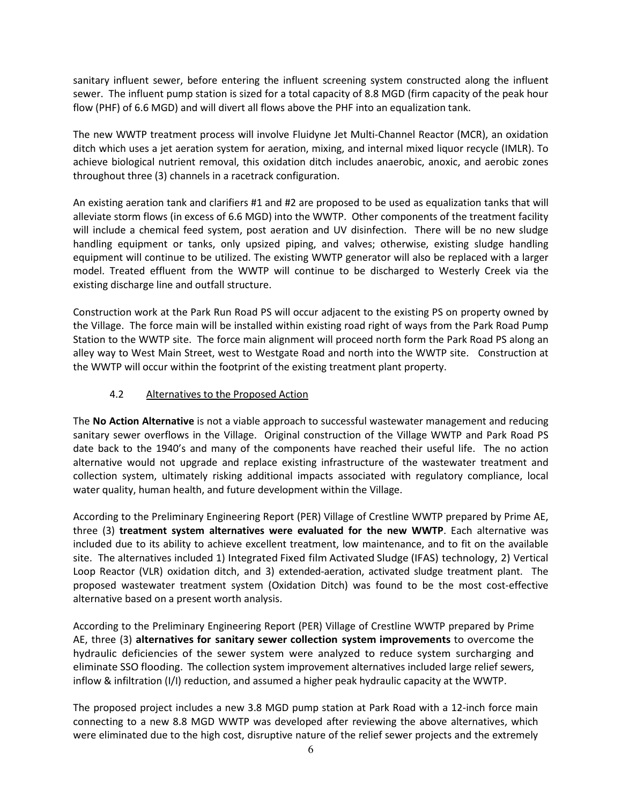sanitary influent sewer, before entering the influent screening system constructed along the influent sewer. The influent pump station is sized for a total capacity of 8.8 MGD (firm capacity of the peak hour flow (PHF) of 6.6 MGD) and will divert all flows above the PHF into an equalization tank.

The new WWTP treatment process will involve Fluidyne Jet Multi-Channel Reactor (MCR), an oxidation ditch which uses a jet aeration system for aeration, mixing, and internal mixed liquor recycle (IMLR). To achieve biological nutrient removal, this oxidation ditch includes anaerobic, anoxic, and aerobic zones throughout three (3) channels in a racetrack configuration.

An existing aeration tank and clarifiers #1 and #2 are proposed to be used as equalization tanks that will alleviate storm flows (in excess of 6.6 MGD) into the WWTP. Other components of the treatment facility will include a chemical feed system, post aeration and UV disinfection. There will be no new sludge handling equipment or tanks, only upsized piping, and valves; otherwise, existing sludge handling equipment will continue to be utilized. The existing WWTP generator will also be replaced with a larger model. Treated effluent from the WWTP will continue to be discharged to Westerly Creek via the existing discharge line and outfall structure.

Construction work at the Park Run Road PS will occur adjacent to the existing PS on property owned by the Village. The force main will be installed within existing road right of ways from the Park Road Pump Station to the WWTP site. The force main alignment will proceed north form the Park Road PS along an alley way to West Main Street, west to Westgate Road and north into the WWTP site. Construction at the WWTP will occur within the footprint of the existing treatment plant property.

## 4.2 Alternatives to the Proposed Action

The **No Action Alternative** is not a viable approach to successful wastewater management and reducing sanitary sewer overflows in the Village. Original construction of the Village WWTP and Park Road PS date back to the 1940's and many of the components have reached their useful life. The no action alternative would not upgrade and replace existing infrastructure of the wastewater treatment and collection system, ultimately risking additional impacts associated with regulatory compliance, local water quality, human health, and future development within the Village.

According to the Preliminary Engineering Report (PER) Village of Crestline WWTP prepared by Prime AE, three (3) **treatment system alternatives were evaluated for the new WWTP**. Each alternative was included due to its ability to achieve excellent treatment, low maintenance, and to fit on the available site. The alternatives included 1) Integrated Fixed film Activated Sludge (IFAS) technology, 2) Vertical Loop Reactor (VLR) oxidation ditch, and 3) extended-aeration, activated sludge treatment plant. The proposed wastewater treatment system (Oxidation Ditch) was found to be the most cost-effective alternative based on a present worth analysis.

According to the Preliminary Engineering Report (PER) Village of Crestline WWTP prepared by Prime AE, three (3) **alternatives for sanitary sewer collection system improvements** to overcome the hydraulic deficiencies of the sewer system were analyzed to reduce system surcharging and eliminate SSO flooding. The collection system improvement alternatives included large relief sewers, inflow & infiltration (I/I) reduction, and assumed a higher peak hydraulic capacity at the WWTP.

The proposed project includes a new 3.8 MGD pump station at Park Road with a 12-inch force main connecting to a new 8.8 MGD WWTP was developed after reviewing the above alternatives, which were eliminated due to the high cost, disruptive nature of the relief sewer projects and the extremely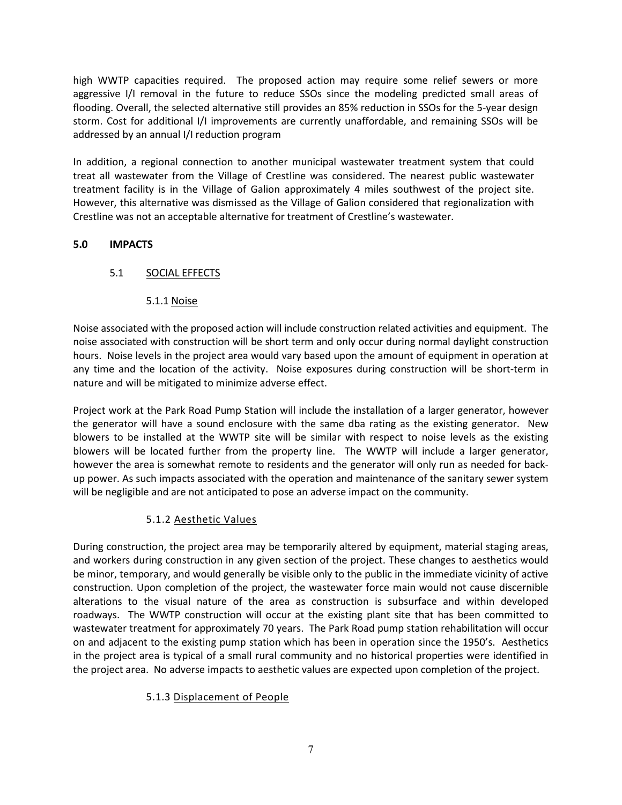high WWTP capacities required. The proposed action may require some relief sewers or more aggressive I/I removal in the future to reduce SSOs since the modeling predicted small areas of flooding. Overall, the selected alternative still provides an 85% reduction in SSOs for the 5-year design storm. Cost for additional I/I improvements are currently unaffordable, and remaining SSOs will be addressed by an annual I/I reduction program

In addition, a regional connection to another municipal wastewater treatment system that could treat all wastewater from the Village of Crestline was considered. The nearest public wastewater treatment facility is in the Village of Galion approximately 4 miles southwest of the project site. However, this alternative was dismissed as the Village of Galion considered that regionalization with Crestline was not an acceptable alternative for treatment of Crestline's wastewater.

### **5.0 IMPACTS**

## 5.1 SOCIAL EFFECTS

### 5.1.1 Noise

Noise associated with the proposed action will include construction related activities and equipment. The noise associated with construction will be short term and only occur during normal daylight construction hours. Noise levels in the project area would vary based upon the amount of equipment in operation at any time and the location of the activity. Noise exposures during construction will be short-term in nature and will be mitigated to minimize adverse effect.

Project work at the Park Road Pump Station will include the installation of a larger generator, however the generator will have a sound enclosure with the same dba rating as the existing generator. New blowers to be installed at the WWTP site will be similar with respect to noise levels as the existing blowers will be located further from the property line. The WWTP will include a larger generator, however the area is somewhat remote to residents and the generator will only run as needed for backup power. As such impacts associated with the operation and maintenance of the sanitary sewer system will be negligible and are not anticipated to pose an adverse impact on the community.

## 5.1.2 Aesthetic Values

During construction, the project area may be temporarily altered by equipment, material staging areas, and workers during construction in any given section of the project. These changes to aesthetics would be minor, temporary, and would generally be visible only to the public in the immediate vicinity of active construction. Upon completion of the project, the wastewater force main would not cause discernible alterations to the visual nature of the area as construction is subsurface and within developed roadways. The WWTP construction will occur at the existing plant site that has been committed to wastewater treatment for approximately 70 years. The Park Road pump station rehabilitation will occur on and adjacent to the existing pump station which has been in operation since the 1950's. Aesthetics in the project area is typical of a small rural community and no historical properties were identified in the project area. No adverse impacts to aesthetic values are expected upon completion of the project.

#### 5.1.3 Displacement of People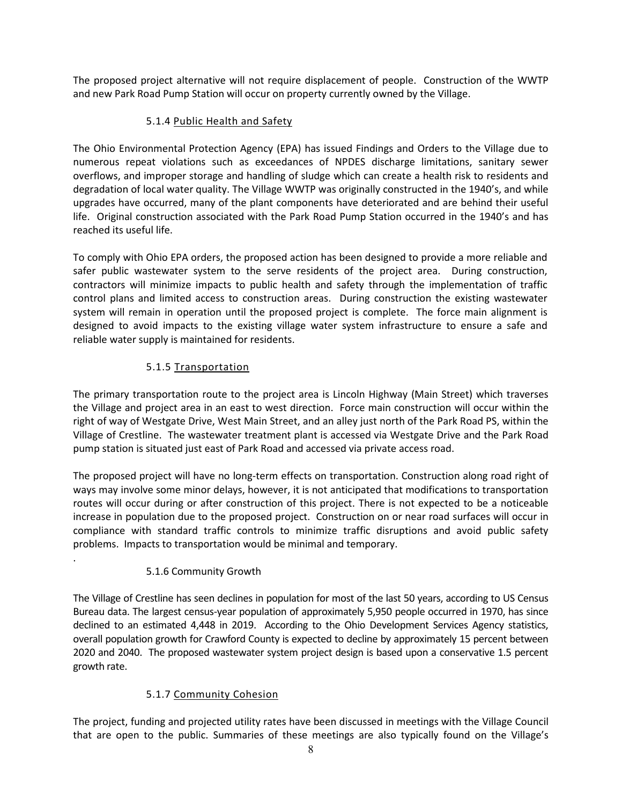The proposed project alternative will not require displacement of people. Construction of the WWTP and new Park Road Pump Station will occur on property currently owned by the Village.

# 5.1.4 Public Health and Safety

The Ohio Environmental Protection Agency (EPA) has issued Findings and Orders to the Village due to numerous repeat violations such as exceedances of NPDES discharge limitations, sanitary sewer overflows, and improper storage and handling of sludge which can create a health risk to residents and degradation of local water quality. The Village WWTP was originally constructed in the 1940's, and while upgrades have occurred, many of the plant components have deteriorated and are behind their useful life. Original construction associated with the Park Road Pump Station occurred in the 1940's and has reached its useful life.

To comply with Ohio EPA orders, the proposed action has been designed to provide a more reliable and safer public wastewater system to the serve residents of the project area. During construction, contractors will minimize impacts to public health and safety through the implementation of traffic control plans and limited access to construction areas. During construction the existing wastewater system will remain in operation until the proposed project is complete. The force main alignment is designed to avoid impacts to the existing village water system infrastructure to ensure a safe and reliable water supply is maintained for residents.

# 5.1.5 Transportation

The primary transportation route to the project area is Lincoln Highway (Main Street) which traverses the Village and project area in an east to west direction. Force main construction will occur within the right of way of Westgate Drive, West Main Street, and an alley just north of the Park Road PS, within the Village of Crestline. The wastewater treatment plant is accessed via Westgate Drive and the Park Road pump station is situated just east of Park Road and accessed via private access road.

The proposed project will have no long-term effects on transportation. Construction along road right of ways may involve some minor delays, however, it is not anticipated that modifications to transportation routes will occur during or after construction of this project. There is not expected to be a noticeable increase in population due to the proposed project. Construction on or near road surfaces will occur in compliance with standard traffic controls to minimize traffic disruptions and avoid public safety problems. Impacts to transportation would be minimal and temporary.

## 5.1.6 Community Growth

.

The Village of Crestline has seen declines in population for most of the last 50 years, according to US Census Bureau data. The largest census-year population of approximately 5,950 people occurred in 1970, has since declined to an estimated 4,448 in 2019. According to the Ohio Development Services Agency statistics, overall population growth for Crawford County is expected to decline by approximately 15 percent between 2020 and 2040. The proposed wastewater system project design is based upon a conservative 1.5 percent growth rate.

# 5.1.7 Community Cohesion

The project, funding and projected utility rates have been discussed in meetings with the Village Council that are open to the public. Summaries of these meetings are also typically found on the Village's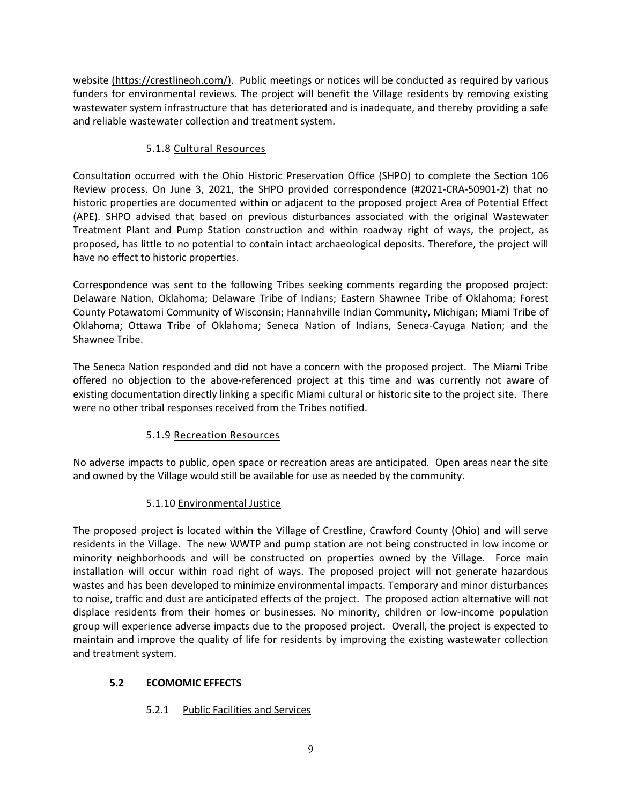website [\(https://crestlineoh.com/\)](https://crestlineoh.com/). Public meetings or notices will be conducted as required by various funders for environmental reviews. The project will benefit the Village residents by removing existing wastewater system infrastructure that has deteriorated and is inadequate, and thereby providing a safe and reliable wastewater collection and treatment system.

## 5.1.8 Cultural Resources

Consultation occurred with the Ohio Historic Preservation Office (SHPO) to complete the Section 106 Review process. On June 3, 2021, the SHPO provided correspondence (#2021-CRA-50901-2) that no historic properties are documented within or adjacent to the proposed project Area of Potential Effect (APE). SHPO advised that based on previous disturbances associated with the original Wastewater Treatment Plant and Pump Station construction and within roadway right of ways, the project, as proposed, has little to no potential to contain intact archaeological deposits. Therefore, the project will have no effect to historic properties.

Correspondence was sent to the following Tribes seeking comments regarding the proposed project: Delaware Nation, Oklahoma; Delaware Tribe of Indians; Eastern Shawnee Tribe of Oklahoma; Forest County Potawatomi Community of Wisconsin; Hannahville Indian Community, Michigan; Miami Tribe of Oklahoma; Ottawa Tribe of Oklahoma; Seneca Nation of Indians, Seneca-Cayuga Nation; and the Shawnee Tribe.

The Seneca Nation responded and did not have a concern with the proposed project. The Miami Tribe offered no objection to the above-referenced project at this time and was currently not aware of existing documentation directly linking a specific Miami cultural or historic site to the project site. There were no other tribal responses received from the Tribes notified.

# 5.1.9 Recreation Resources

No adverse impacts to public, open space or recreation areas are anticipated. Open areas near the site and owned by the Village would still be available for use as needed by the community.

# 5.1.10 Environmental Justice

The proposed project is located within the Village of Crestline, Crawford County (Ohio) and will serve residents in the Village. The new WWTP and pump station are not being constructed in low income or minority neighborhoods and will be constructed on properties owned by the Village. Force main installation will occur within road right of ways. The proposed project will not generate hazardous wastes and has been developed to minimize environmental impacts. Temporary and minor disturbances to noise, traffic and dust are anticipated effects of the project. The proposed action alternative will not displace residents from their homes or businesses. No minority, children or low-income population group will experience adverse impacts due to the proposed project. Overall, the project is expected to maintain and improve the quality of life for residents by improving the existing wastewater collection and treatment system.

## **5.2 ECOMOMIC EFFECTS**

# 5.2.1 Public Facilities and Services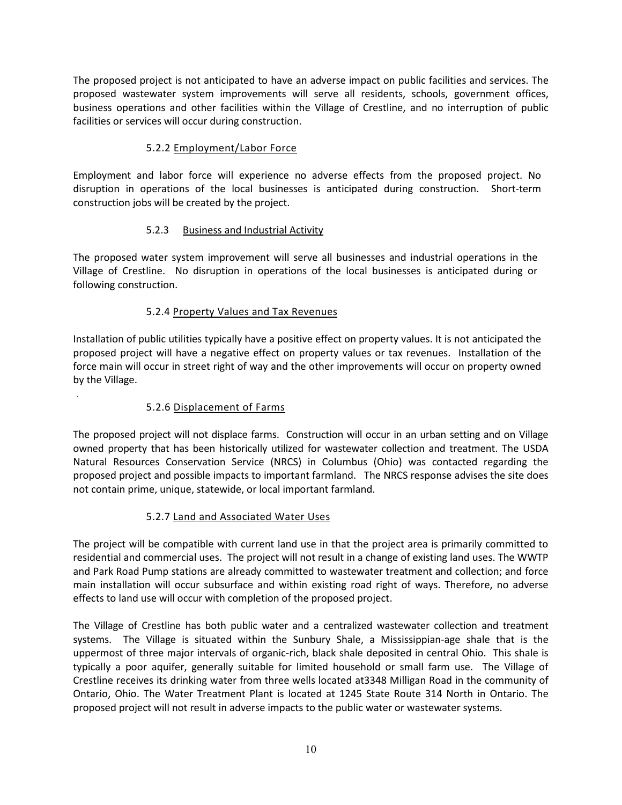The proposed project is not anticipated to have an adverse impact on public facilities and services. The proposed wastewater system improvements will serve all residents, schools, government offices, business operations and other facilities within the Village of Crestline, and no interruption of public facilities or services will occur during construction.

# 5.2.2 Employment/Labor Force

Employment and labor force will experience no adverse effects from the proposed project. No disruption in operations of the local businesses is anticipated during construction. Short-term construction jobs will be created by the project.

## 5.2.3 Business and Industrial Activity

The proposed water system improvement will serve all businesses and industrial operations in the Village of Crestline. No disruption in operations of the local businesses is anticipated during or following construction.

## 5.2.4 Property Values and Tax Revenues

Installation of public utilities typically have a positive effect on property values. It is not anticipated the proposed project will have a negative effect on property values or tax revenues. Installation of the force main will occur in street right of way and the other improvements will occur on property owned by the Village.

## 5.2.6 Displacement of Farms

.

The proposed project will not displace farms. Construction will occur in an urban setting and on Village owned property that has been historically utilized for wastewater collection and treatment. The USDA Natural Resources Conservation Service (NRCS) in Columbus (Ohio) was contacted regarding the proposed project and possible impacts to important farmland. The NRCS response advises the site does not contain prime, unique, statewide, or local important farmland.

## 5.2.7 Land and Associated Water Uses

The project will be compatible with current land use in that the project area is primarily committed to residential and commercial uses. The project will not result in a change of existing land uses. The WWTP and Park Road Pump stations are already committed to wastewater treatment and collection; and force main installation will occur subsurface and within existing road right of ways. Therefore, no adverse effects to land use will occur with completion of the proposed project.

The Village of Crestline has both public water and a centralized wastewater collection and treatment systems. The Village is situated within the Sunbury Shale, a Mississippian-age shale that is the uppermost of three major intervals of organic-rich, black shale deposited in central Ohio. This shale is typically a poor aquifer, generally suitable for limited household or small farm use. The Village of Crestline receives its drinking water from three wells located at3348 Milligan Road in the community of Ontario, Ohio. The Water Treatment Plant is located at 1245 State Route 314 North in Ontario. The proposed project will not result in adverse impacts to the public water or wastewater systems.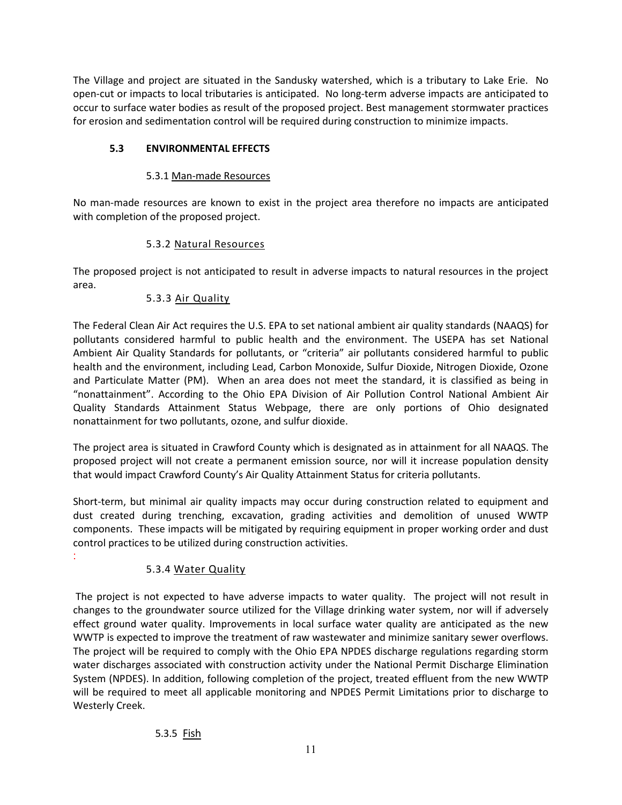The Village and project are situated in the Sandusky watershed, which is a tributary to Lake Erie. No open-cut or impacts to local tributaries is anticipated. No long-term adverse impacts are anticipated to occur to surface water bodies as result of the proposed project. Best management stormwater practices for erosion and sedimentation control will be required during construction to minimize impacts.

# **5.3 ENVIRONMENTAL EFFECTS**

## 5.3.1 Man-made Resources

No man-made resources are known to exist in the project area therefore no impacts are anticipated with completion of the proposed project.

# 5.3.2 Natural Resources

The proposed project is not anticipated to result in adverse impacts to natural resources in the project area.

# 5.3.3 Air Quality

The Federal Clean Air Act requires the U.S. EPA to set national ambient air quality standards (NAAQS) for pollutants considered harmful to public health and the environment. The USEPA has set National Ambient Air Quality Standards for pollutants, or "criteria" air pollutants considered harmful to public health and the environment, including Lead, Carbon Monoxide, Sulfur Dioxide, Nitrogen Dioxide, Ozone and Particulate Matter (PM). When an area does not meet the standard, it is classified as being in "nonattainment". According to the Ohio EPA Division of Air Pollution Control National Ambient Air Quality Standards Attainment Status Webpage, there are only portions of Ohio designated nonattainment for two pollutants, ozone, and sulfur dioxide.

The project area is situated in Crawford County which is designated as in attainment for all NAAQS. The proposed project will not create a permanent emission source, nor will it increase population density that would impact Crawford County's Air Quality Attainment Status for criteria pollutants.

Short-term, but minimal air quality impacts may occur during construction related to equipment and dust created during trenching, excavation, grading activities and demolition of unused WWTP components. These impacts will be mitigated by requiring equipment in proper working order and dust control practices to be utilized during construction activities.

# 5.3.4 Water Quality

:

The project is not expected to have adverse impacts to water quality. The project will not result in changes to the groundwater source utilized for the Village drinking water system, nor will if adversely effect ground water quality. Improvements in local surface water quality are anticipated as the new WWTP is expected to improve the treatment of raw wastewater and minimize sanitary sewer overflows. The project will be required to comply with the Ohio EPA NPDES discharge regulations regarding storm water discharges associated with construction activity under the National Permit Discharge Elimination System (NPDES). In addition, following completion of the project, treated effluent from the new WWTP will be required to meet all applicable monitoring and NPDES Permit Limitations prior to discharge to Westerly Creek.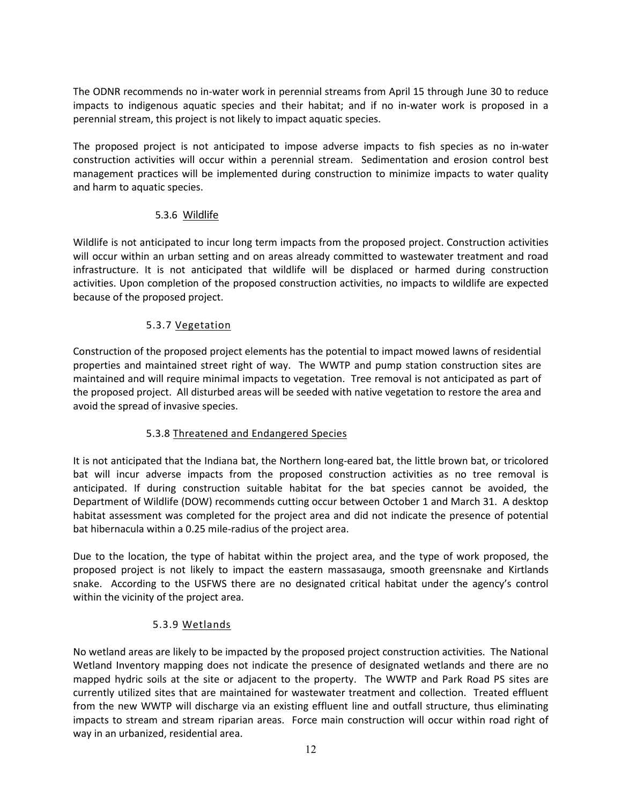The ODNR recommends no in-water work in perennial streams from April 15 through June 30 to reduce impacts to indigenous aquatic species and their habitat; and if no in-water work is proposed in a perennial stream, this project is not likely to impact aquatic species.

The proposed project is not anticipated to impose adverse impacts to fish species as no in-water construction activities will occur within a perennial stream. Sedimentation and erosion control best management practices will be implemented during construction to minimize impacts to water quality and harm to aquatic species.

### 5.3.6 Wildlife

Wildlife is not anticipated to incur long term impacts from the proposed project. Construction activities will occur within an urban setting and on areas already committed to wastewater treatment and road infrastructure. It is not anticipated that wildlife will be displaced or harmed during construction activities. Upon completion of the proposed construction activities, no impacts to wildlife are expected because of the proposed project.

### 5.3.7 Vegetation

Construction of the proposed project elements has the potential to impact mowed lawns of residential properties and maintained street right of way. The WWTP and pump station construction sites are maintained and will require minimal impacts to vegetation. Tree removal is not anticipated as part of the proposed project. All disturbed areas will be seeded with native vegetation to restore the area and avoid the spread of invasive species.

## 5.3.8 Threatened and Endangered Species

It is not anticipated that the Indiana bat, the Northern long-eared bat, the little brown bat, or tricolored bat will incur adverse impacts from the proposed construction activities as no tree removal is anticipated. If during construction suitable habitat for the bat species cannot be avoided, the Department of Wildlife (DOW) recommends cutting occur between October 1 and March 31. A desktop habitat assessment was completed for the project area and did not indicate the presence of potential bat hibernacula within a 0.25 mile-radius of the project area.

Due to the location, the type of habitat within the project area, and the type of work proposed, the proposed project is not likely to impact the eastern massasauga, smooth greensnake and Kirtlands snake. According to the USFWS there are no designated critical habitat under the agency's control within the vicinity of the project area.

#### 5.3.9 Wetlands

No wetland areas are likely to be impacted by the proposed project construction activities. The National Wetland Inventory mapping does not indicate the presence of designated wetlands and there are no mapped hydric soils at the site or adjacent to the property. The WWTP and Park Road PS sites are currently utilized sites that are maintained for wastewater treatment and collection. Treated effluent from the new WWTP will discharge via an existing effluent line and outfall structure, thus eliminating impacts to stream and stream riparian areas. Force main construction will occur within road right of way in an urbanized, residential area.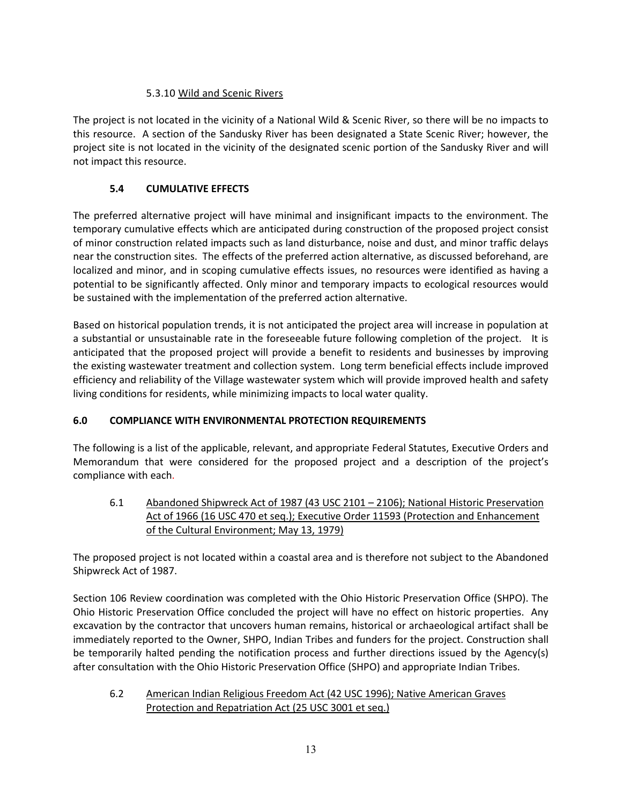## 5.3.10 Wild and Scenic Rivers

The project is not located in the vicinity of a National Wild & Scenic River, so there will be no impacts to this resource. A section of the Sandusky River has been designated a State Scenic River; however, the project site is not located in the vicinity of the designated scenic portion of the Sandusky River and will not impact this resource.

# **5.4 CUMULATIVE EFFECTS**

The preferred alternative project will have minimal and insignificant impacts to the environment. The temporary cumulative effects which are anticipated during construction of the proposed project consist of minor construction related impacts such as land disturbance, noise and dust, and minor traffic delays near the construction sites. The effects of the preferred action alternative, as discussed beforehand, are localized and minor, and in scoping cumulative effects issues, no resources were identified as having a potential to be significantly affected. Only minor and temporary impacts to ecological resources would be sustained with the implementation of the preferred action alternative.

Based on historical population trends, it is not anticipated the project area will increase in population at a substantial or unsustainable rate in the foreseeable future following completion of the project. It is anticipated that the proposed project will provide a benefit to residents and businesses by improving the existing wastewater treatment and collection system. Long term beneficial effects include improved efficiency and reliability of the Village wastewater system which will provide improved health and safety living conditions for residents, while minimizing impacts to local water quality.

# **6.0 COMPLIANCE WITH ENVIRONMENTAL PROTECTION REQUIREMENTS**

The following is a list of the applicable, relevant, and appropriate Federal Statutes, Executive Orders and Memorandum that were considered for the proposed project and a description of the project's compliance with each.

6.1 Abandoned Shipwreck Act of 1987 (43 USC 2101 – 2106); National Historic Preservation Act of 1966 (16 USC 470 et seq.); Executive Order 11593 (Protection and Enhancement of the Cultural Environment; May 13, 1979)

The proposed project is not located within a coastal area and is therefore not subject to the Abandoned Shipwreck Act of 1987.

Section 106 Review coordination was completed with the Ohio Historic Preservation Office (SHPO). The Ohio Historic Preservation Office concluded the project will have no effect on historic properties. Any excavation by the contractor that uncovers human remains, historical or archaeological artifact shall be immediately reported to the Owner, SHPO, Indian Tribes and funders for the project. Construction shall be temporarily halted pending the notification process and further directions issued by the Agency(s) after consultation with the Ohio Historic Preservation Office (SHPO) and appropriate Indian Tribes.

6.2 American Indian Religious Freedom Act (42 USC 1996); Native American Graves Protection and Repatriation Act (25 USC 3001 et seq.)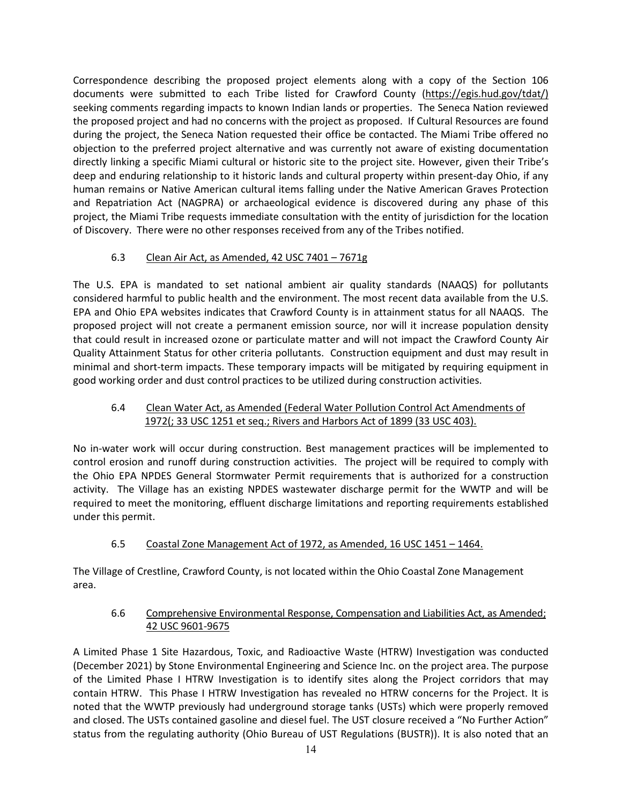Correspondence describing the proposed project elements along with a copy of the Section 106 documents were submitted to each Tribe listed for Crawford County [\(https://egis.hud.gov/tdat/\)](https://egis.hud.gov/tdat/)) seeking comments regarding impacts to known Indian lands or properties. The Seneca Nation reviewed the proposed project and had no concerns with the project as proposed. If Cultural Resources are found during the project, the Seneca Nation requested their office be contacted. The Miami Tribe offered no objection to the preferred project alternative and was currently not aware of existing documentation directly linking a specific Miami cultural or historic site to the project site. However, given their Tribe's deep and enduring relationship to it historic lands and cultural property within present-day Ohio, if any human remains or Native American cultural items falling under the Native American Graves Protection and Repatriation Act (NAGPRA) or archaeological evidence is discovered during any phase of this project, the Miami Tribe requests immediate consultation with the entity of jurisdiction for the location of Discovery. There were no other responses received from any of the Tribes notified.

# 6.3 Clean Air Act, as Amended, 42 USC 7401 – 7671g

The U.S. EPA is mandated to set national ambient air quality standards (NAAQS) for pollutants considered harmful to public health and the environment. The most recent data available from the U.S. EPA and Ohio EPA websites indicates that Crawford County is in attainment status for all NAAQS. The proposed project will not create a permanent emission source, nor will it increase population density that could result in increased ozone or particulate matter and will not impact the Crawford County Air Quality Attainment Status for other criteria pollutants. Construction equipment and dust may result in minimal and short-term impacts. These temporary impacts will be mitigated by requiring equipment in good working order and dust control practices to be utilized during construction activities.

## 6.4 Clean Water Act, as Amended (Federal Water Pollution Control Act Amendments of 1972(; 33 USC 1251 et seq.; Rivers and Harbors Act of 1899 (33 USC 403).

No in-water work will occur during construction. Best management practices will be implemented to control erosion and runoff during construction activities. The project will be required to comply with the Ohio EPA NPDES General Stormwater Permit requirements that is authorized for a construction activity. The Village has an existing NPDES wastewater discharge permit for the WWTP and will be required to meet the monitoring, effluent discharge limitations and reporting requirements established under this permit.

6.5 Coastal Zone Management Act of 1972, as Amended, 16 USC 1451 – 1464.

The Village of Crestline, Crawford County, is not located within the Ohio Coastal Zone Management area.

### 6.6 Comprehensive Environmental Response, Compensation and Liabilities Act, as Amended; 42 USC 9601-9675

A Limited Phase 1 Site Hazardous, Toxic, and Radioactive Waste (HTRW) Investigation was conducted (December 2021) by Stone Environmental Engineering and Science Inc. on the project area. The purpose of the Limited Phase I HTRW Investigation is to identify sites along the Project corridors that may contain HTRW. This Phase I HTRW Investigation has revealed no HTRW concerns for the Project. It is noted that the WWTP previously had underground storage tanks (USTs) which were properly removed and closed. The USTs contained gasoline and diesel fuel. The UST closure received a "No Further Action" status from the regulating authority (Ohio Bureau of UST Regulations (BUSTR)). It is also noted that an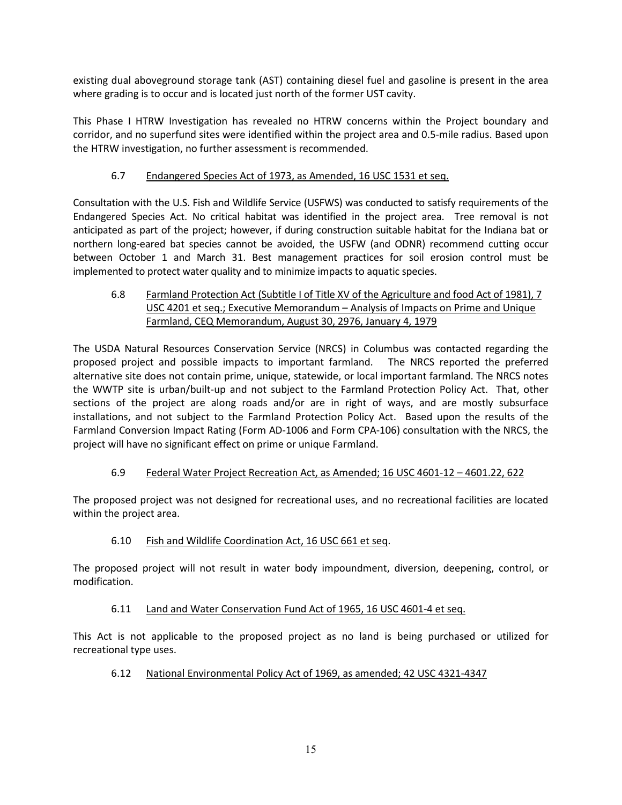existing dual aboveground storage tank (AST) containing diesel fuel and gasoline is present in the area where grading is to occur and is located just north of the former UST cavity.

This Phase I HTRW Investigation has revealed no HTRW concerns within the Project boundary and corridor, and no superfund sites were identified within the project area and 0.5-mile radius. Based upon the HTRW investigation, no further assessment is recommended.

## 6.7 Endangered Species Act of 1973, as Amended, 16 USC 1531 et seq.

Consultation with the U.S. Fish and Wildlife Service (USFWS) was conducted to satisfy requirements of the Endangered Species Act. No critical habitat was identified in the project area. Tree removal is not anticipated as part of the project; however, if during construction suitable habitat for the Indiana bat or northern long-eared bat species cannot be avoided, the USFW (and ODNR) recommend cutting occur between October 1 and March 31. Best management practices for soil erosion control must be implemented to protect water quality and to minimize impacts to aquatic species.

## 6.8 Farmland Protection Act (Subtitle I of Title XV of the Agriculture and food Act of 1981), 7 USC 4201 et seq.; Executive Memorandum – Analysis of Impacts on Prime and Unique Farmland, CEQ Memorandum, August 30, 2976, January 4, 1979

The USDA Natural Resources Conservation Service (NRCS) in Columbus was contacted regarding the proposed project and possible impacts to important farmland. The NRCS reported the preferred alternative site does not contain prime, unique, statewide, or local important farmland. The NRCS notes the WWTP site is urban/built-up and not subject to the Farmland Protection Policy Act. That, other sections of the project are along roads and/or are in right of ways, and are mostly subsurface installations, and not subject to the Farmland Protection Policy Act. Based upon the results of the Farmland Conversion Impact Rating (Form AD-1006 and Form CPA-106) consultation with the NRCS, the project will have no significant effect on prime or unique Farmland.

## 6.9 Federal Water Project Recreation Act, as Amended; 16 USC 4601-12 – 4601.22, 622

The proposed project was not designed for recreational uses, and no recreational facilities are located within the project area.

#### 6.10 Fish and Wildlife Coordination Act, 16 USC 661 et seq.

The proposed project will not result in water body impoundment, diversion, deepening, control, or modification.

#### 6.11 Land and Water Conservation Fund Act of 1965, 16 USC 4601-4 et seq.

This Act is not applicable to the proposed project as no land is being purchased or utilized for recreational type uses.

#### 6.12 National Environmental Policy Act of 1969, as amended; 42 USC 4321-4347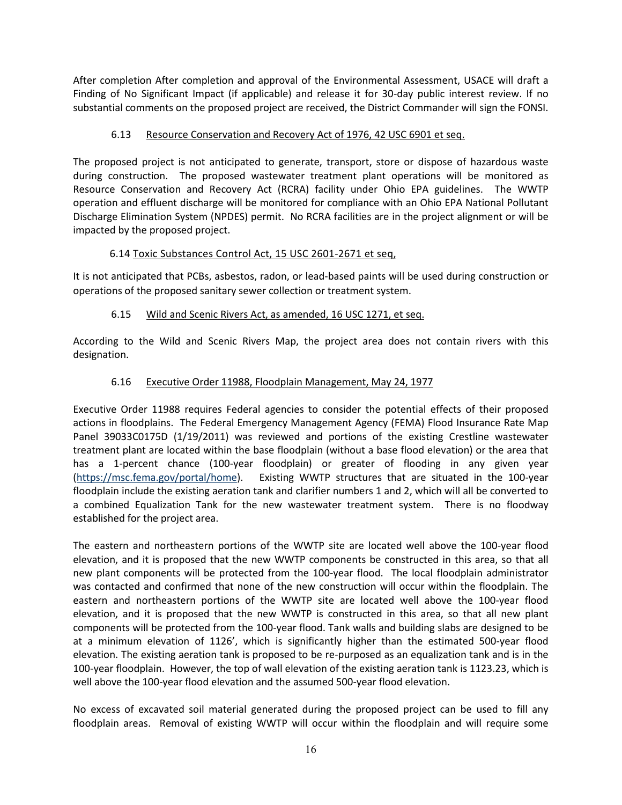After completion After completion and approval of the Environmental Assessment, USACE will draft a Finding of No Significant Impact (if applicable) and release it for 30-day public interest review. If no substantial comments on the proposed project are received, the District Commander will sign the FONSI.

### 6.13 Resource Conservation and Recovery Act of 1976, 42 USC 6901 et seq.

The proposed project is not anticipated to generate, transport, store or dispose of hazardous waste during construction. The proposed wastewater treatment plant operations will be monitored as Resource Conservation and Recovery Act (RCRA) facility under Ohio EPA guidelines. The WWTP operation and effluent discharge will be monitored for compliance with an Ohio EPA National Pollutant Discharge Elimination System (NPDES) permit. No RCRA facilities are in the project alignment or will be impacted by the proposed project.

### 6.14 Toxic Substances Control Act, 15 USC 2601-2671 et seq,

It is not anticipated that PCBs, asbestos, radon, or lead-based paints will be used during construction or operations of the proposed sanitary sewer collection or treatment system.

### 6.15 Wild and Scenic Rivers Act, as amended, 16 USC 1271, et seq.

According to the Wild and Scenic Rivers Map, the project area does not contain rivers with this designation.

### 6.16 Executive Order 11988, Floodplain Management, May 24, 1977

Executive Order 11988 requires Federal agencies to consider the potential effects of their proposed actions in floodplains. The Federal Emergency Management Agency (FEMA) Flood Insurance Rate Map Panel 39033C0175D (1/19/2011) was reviewed and portions of the existing Crestline wastewater treatment plant are located within the base floodplain (without a base flood elevation) or the area that has a 1-percent chance (100-year floodplain) or greater of flooding in any given year [\(https://msc.fema.gov/portal/home\)](https://msc.fema.gov/portal/home). Existing WWTP structures that are situated in the 100-year floodplain include the existing aeration tank and clarifier numbers 1 and 2, which will all be converted to a combined Equalization Tank for the new wastewater treatment system. There is no floodway established for the project area.

The eastern and northeastern portions of the WWTP site are located well above the 100-year flood elevation, and it is proposed that the new WWTP components be constructed in this area, so that all new plant components will be protected from the 100-year flood. The local floodplain administrator was contacted and confirmed that none of the new construction will occur within the floodplain. The eastern and northeastern portions of the WWTP site are located well above the 100-year flood elevation, and it is proposed that the new WWTP is constructed in this area, so that all new plant components will be protected from the 100-year flood. Tank walls and building slabs are designed to be at a minimum elevation of 1126', which is significantly higher than the estimated 500-year flood elevation. The existing aeration tank is proposed to be re-purposed as an equalization tank and is in the 100-year floodplain. However, the top of wall elevation of the existing aeration tank is 1123.23, which is well above the 100-year flood elevation and the assumed 500-year flood elevation.

No excess of excavated soil material generated during the proposed project can be used to fill any floodplain areas. Removal of existing WWTP will occur within the floodplain and will require some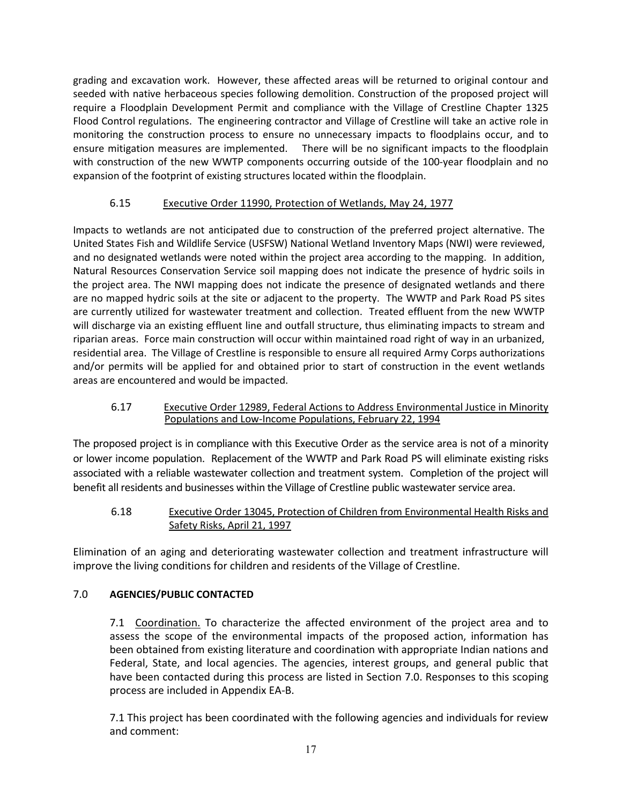grading and excavation work. However, these affected areas will be returned to original contour and seeded with native herbaceous species following demolition. Construction of the proposed project will require a Floodplain Development Permit and compliance with the Village of Crestline Chapter 1325 Flood Control regulations. The engineering contractor and Village of Crestline will take an active role in monitoring the construction process to ensure no unnecessary impacts to floodplains occur, and to ensure mitigation measures are implemented. There will be no significant impacts to the floodplain with construction of the new WWTP components occurring outside of the 100-year floodplain and no expansion of the footprint of existing structures located within the floodplain.

# 6.15 Executive Order 11990, Protection of Wetlands, May 24, 1977

Impacts to wetlands are not anticipated due to construction of the preferred project alternative. The United States Fish and Wildlife Service (USFSW) National Wetland Inventory Maps (NWI) were reviewed, and no designated wetlands were noted within the project area according to the mapping. In addition, Natural Resources Conservation Service soil mapping does not indicate the presence of hydric soils in the project area. The NWI mapping does not indicate the presence of designated wetlands and there are no mapped hydric soils at the site or adjacent to the property. The WWTP and Park Road PS sites are currently utilized for wastewater treatment and collection. Treated effluent from the new WWTP will discharge via an existing effluent line and outfall structure, thus eliminating impacts to stream and riparian areas. Force main construction will occur within maintained road right of way in an urbanized, residential area. The Village of Crestline is responsible to ensure all required Army Corps authorizations and/or permits will be applied for and obtained prior to start of construction in the event wetlands areas are encountered and would be impacted.

#### 6.17 Executive Order 12989, Federal Actions to Address Environmental Justice in Minority Populations and Low-Income Populations, February 22, 1994

The proposed project is in compliance with this Executive Order as the service area is not of a minority or lower income population. Replacement of the WWTP and Park Road PS will eliminate existing risks associated with a reliable wastewater collection and treatment system. Completion of the project will benefit all residents and businesses within the Village of Crestline public wastewater service area.

## 6.18 Executive Order 13045, Protection of Children from Environmental Health Risks and Safety Risks, April 21, 1997

Elimination of an aging and deteriorating wastewater collection and treatment infrastructure will improve the living conditions for children and residents of the Village of Crestline.

## 7.0 **AGENCIES/PUBLIC CONTACTED**

7.1 Coordination. To characterize the affected environment of the project area and to assess the scope of the environmental impacts of the proposed action, information has been obtained from existing literature and coordination with appropriate Indian nations and Federal, State, and local agencies. The agencies, interest groups, and general public that have been contacted during this process are listed in Section 7.0. Responses to this scoping process are included in Appendix EA-B.

7.1 This project has been coordinated with the following agencies and individuals for review and comment: